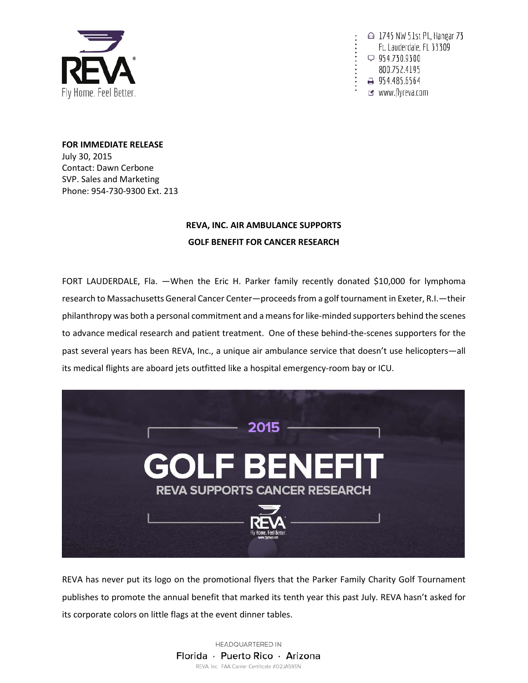

△ 1745 NW 51st Pl., Hangar 73 Ft. Lauderdale, FL 33309  $\varphi$  954.730.9300 800.752.4195 → 954.485.6564 of www.flyreva.com

**FOR IMMEDIATE RELEASE** July 30, 2015 Contact: Dawn Cerbone SVP. Sales and Marketing Phone: 954-730-9300 Ext. 213

## **REVA, INC. AIR AMBULANCE SUPPORTS GOLF BENEFIT FOR CANCER RESEARCH**

FORT LAUDERDALE, Fla. —When the Eric H. Parker family recently donated \$10,000 for lymphoma research to Massachusetts General Cancer Center—proceeds from a golf tournament in Exeter, R.I.—their philanthropy was both a personal commitment and a means for like-minded supporters behind the scenes to advance medical research and patient treatment. One of these behind-the-scenes supporters for the past several years has been REVA, Inc., a unique air ambulance service that doesn't use helicopters—all its medical flights are aboard jets outfitted like a hospital emergency-room bay or ICU.



REVA has never put its logo on the promotional flyers that the Parker Family Charity Golf Tournament publishes to promote the annual benefit that marked its tenth year this past July. REVA hasn't asked for its corporate colors on little flags at the event dinner tables.

> HEADQUARTERED IN Florida · Puerto Rico · Arizona REVA, Inc. FAA Carrier Certificate #O2JA595N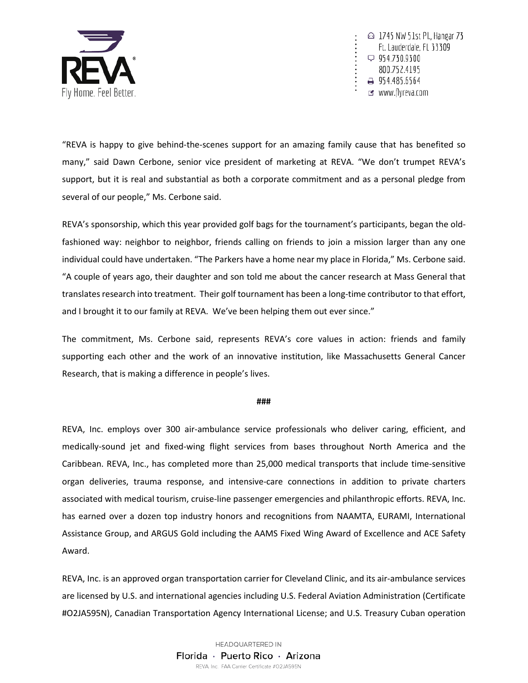

△ 1745 NW 51st Pl., Hangar 73 Ft. Lauderdale, FL 33309  $\varphi$  954.730.9300 800.752.4195 → 954.485.6564 of www.flyreva.com

"REVA is happy to give behind-the-scenes support for an amazing family cause that has benefited so many," said Dawn Cerbone, senior vice president of marketing at REVA. "We don't trumpet REVA's support, but it is real and substantial as both a corporate commitment and as a personal pledge from several of our people," Ms. Cerbone said.

REVA's sponsorship, which this year provided golf bags for the tournament's participants, began the oldfashioned way: neighbor to neighbor, friends calling on friends to join a mission larger than any one individual could have undertaken. "The Parkers have a home near my place in Florida," Ms. Cerbone said. "A couple of years ago, their daughter and son told me about the cancer research at Mass General that translates research into treatment. Their golf tournament has been a long-time contributor to that effort, and I brought it to our family at REVA. We've been helping them out ever since."

The commitment, Ms. Cerbone said, represents REVA's core values in action: friends and family supporting each other and the work of an innovative institution, like Massachusetts General Cancer Research, that is making a difference in people's lives.

## **###**

REVA, Inc. employs over 300 air-ambulance service professionals who deliver caring, efficient, and medically-sound jet and fixed-wing flight services from bases throughout North America and the Caribbean. REVA, Inc., has completed more than 25,000 medical transports that include time-sensitive organ deliveries, trauma response, and intensive-care connections in addition to private charters associated with medical tourism, cruise-line passenger emergencies and philanthropic efforts. REVA, Inc. has earned over a dozen top industry honors and recognitions from NAAMTA, EURAMI, International Assistance Group, and ARGUS Gold including the AAMS Fixed Wing Award of Excellence and ACE Safety Award.

REVA, Inc. is an approved organ transportation carrier for Cleveland Clinic, and its air-ambulance services are licensed by U.S. and international agencies including U.S. Federal Aviation Administration (Certificate #O2JA595N), Canadian Transportation Agency International License; and U.S. Treasury Cuban operation

> HEADQUARTERED IN Florida · Puerto Rico · Arizona REVA, Inc. FAA Carrier Certificate #02JA595N